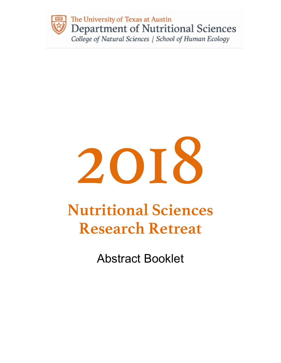

# 2018

## **Nutritional Sciences Research Retreat**

Abstract Booklet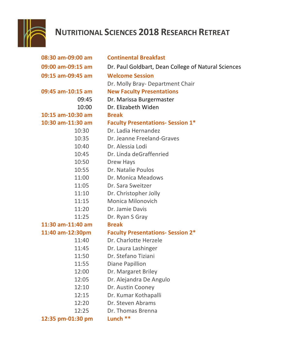

### **NUTRITIONAL SCIENCES 2018 RESEARCH RETREAT**

| 08:30 am-09:00 am | <b>Continental Breakfast</b>                        |  |  |
|-------------------|-----------------------------------------------------|--|--|
| 09:00 am-09:15 am | Dr. Paul Goldbart, Dean College of Natural Sciences |  |  |
| 09:15 am-09:45 am | <b>Welcome Session</b>                              |  |  |
|                   | Dr. Molly Bray-Department Chair                     |  |  |
| 09:45 am-10:15 am | <b>New Faculty Presentations</b>                    |  |  |
| 09:45             | Dr. Marissa Burgermaster                            |  |  |
| 10:00             | Dr. Elizabeth Widen                                 |  |  |
| 10:15 am-10:30 am | <b>Break</b>                                        |  |  |
| 10:30 am-11:30 am | <b>Faculty Presentations- Session 1*</b>            |  |  |
| 10:30             | Dr. Ladia Hernandez                                 |  |  |
| 10:35             | Dr. Jeanne Freeland-Graves                          |  |  |
| 10:40             | Dr. Alessia Lodi                                    |  |  |
| 10:45             | Dr. Linda deGraffenried                             |  |  |
| 10:50             | <b>Drew Hays</b>                                    |  |  |
| 10:55             | Dr. Natalie Poulos                                  |  |  |
| 11:00             | Dr. Monica Meadows                                  |  |  |
| 11:05             | Dr. Sara Sweitzer                                   |  |  |
| 11:10             | Dr. Christopher Jolly                               |  |  |
| 11:15             | <b>Monica Milonovich</b>                            |  |  |
| 11:20             | Dr. Jamie Davis                                     |  |  |
| 11:25             | Dr. Ryan S Gray                                     |  |  |
| 11:30 am-11:40 am | <b>Break</b>                                        |  |  |
| 11:40 am-12:30pm  | <b>Faculty Presentations- Session 2*</b>            |  |  |
| 11:40             | Dr. Charlotte Herzele                               |  |  |
| 11:45             | Dr. Laura Lashinger                                 |  |  |
| 11:50             | Dr. Stefano Tiziani                                 |  |  |
| 11:55             | Diane Papillion                                     |  |  |
| 12:00             | Dr. Margaret Briley                                 |  |  |
| 12:05             | Dr. Alejandra De Angulo                             |  |  |
| 12:10             | Dr. Austin Cooney                                   |  |  |
| 12:15             | Dr. Kumar Kothapalli                                |  |  |
| 12:20             | Dr. Steven Abrams                                   |  |  |
| 12:25             | Dr. Thomas Brenna                                   |  |  |
| 12:35 pm-01:30 pm | Lunch **                                            |  |  |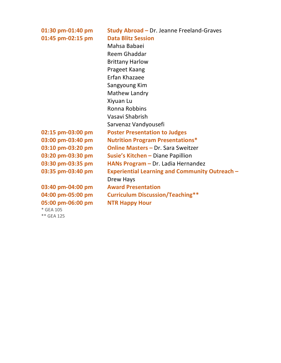| 01:30 pm-01:40 pm | Study Abroad - Dr. Jeanne Freeland-Graves             |  |  |  |
|-------------------|-------------------------------------------------------|--|--|--|
| 01:45 pm-02:15 pm | <b>Data Blitz Session</b>                             |  |  |  |
|                   | Mahsa Babaei                                          |  |  |  |
|                   | Reem Ghaddar                                          |  |  |  |
|                   | <b>Brittany Harlow</b>                                |  |  |  |
|                   | Prageet Kaang                                         |  |  |  |
|                   | Erfan Khazaee                                         |  |  |  |
|                   | Sangyoung Kim                                         |  |  |  |
|                   | <b>Mathew Landry</b>                                  |  |  |  |
|                   | Xiyuan Lu                                             |  |  |  |
|                   | Ronna Robbins                                         |  |  |  |
|                   | Vasavi Shabrish                                       |  |  |  |
|                   | Sarvenaz Vandyousefi                                  |  |  |  |
| 02:15 pm-03:00 pm | <b>Poster Presentation to Judges</b>                  |  |  |  |
| 03:00 pm-03:40 pm | <b>Nutrition Program Presentations*</b>               |  |  |  |
| 03:10 pm-03:20 pm | <b>Online Masters - Dr. Sara Sweitzer</b>             |  |  |  |
| 03:20 pm-03:30 pm | <b>Susie's Kitchen - Diane Papillion</b>              |  |  |  |
| 03:30 pm-03:35 pm | HANs Program - Dr. Ladia Hernandez                    |  |  |  |
| 03:35 pm-03:40 pm | <b>Experiential Learning and Community Outreach -</b> |  |  |  |
|                   | Drew Hays                                             |  |  |  |
| 03:40 pm-04:00 pm | <b>Award Presentation</b>                             |  |  |  |
| 04:00 pm-05:00 pm | <b>Curriculum Discussion/Teaching**</b>               |  |  |  |
| 05:00 pm-06:00 pm | <b>NTR Happy Hour</b>                                 |  |  |  |
| * GEA 105         |                                                       |  |  |  |

\*\* GEA 125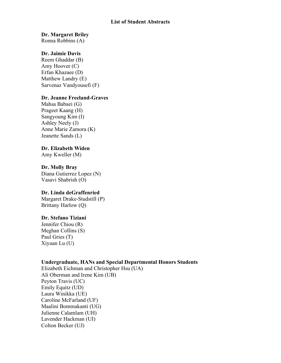#### **List of Student Abstracts**

#### **Dr. Margaret Briley**

Ronna Robbins (A)

#### **Dr. Jaimie Davis**

Reem Ghaddar (B) Amy Hoover (C) Erfan Khazaee (D) Matthew Landry (E) Sarvenaz Vandyousefi (F)

#### **Dr. Jeanne Freeland-Graves**

Mahsa Babaei (G) Prageet Kaang (H) Sangyoung Kim (I) Ashley Neely (J) Anne Marie Zamora (K) Jeanette Sands (L)

#### **Dr. Elizabeth Widen**

Amy Kweller (M)

#### **Dr. Molly Bray**

Diana Gutierrez Lopez (N) Vasavi Shabrish (O)

#### **Dr. Linda deGraffenried**

Margaret Drake-Studstill (P) Brittany Harlow (Q)

#### **Dr. Stefano Tiziani**

Jennifer Chiou (R) Meghan Collins (S) Paul Gries (T) Xiyuan Lu (U)

#### **Undergraduate, HANs and Special Departmental Honors Students**

Elizabeth Eichman and Christopher Hsu (UA) Ali Oberman and Irene Kim (UB) Peyton Travis (UC) Emily Equitz (UD) Laura Winikka (UE) Caroline McFarland (UF) Maalini Bommakanti (UG) Julienne Calamlam (UH) Lavender Hackman (UI) Colton Becker (UJ)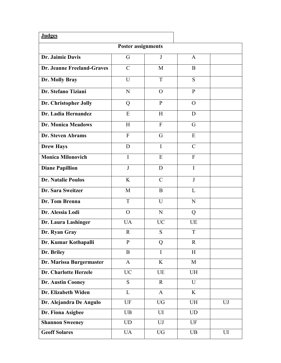| <b>Judges</b>              |               |               |                |           |  |  |
|----------------------------|---------------|---------------|----------------|-----------|--|--|
| <b>Poster assignments</b>  |               |               |                |           |  |  |
| Dr. Jaimie Davis           | G             | J             | $\mathbf{A}$   |           |  |  |
| Dr. Jeanne Freeland-Graves | $\mathcal{C}$ | M             | B              |           |  |  |
| Dr. Molly Bray             | U             | T             | S              |           |  |  |
| Dr. Stefano Tiziani        | N             | $\Omega$      | $\mathbf{P}$   |           |  |  |
| Dr. Christopher Jolly      | Q             | $\mathbf{P}$  | $\Omega$       |           |  |  |
| Dr. Ladia Hernandez        | E             | H             | D              |           |  |  |
| <b>Dr. Monica Meadows</b>  | H             | $\mathbf{F}$  | G              |           |  |  |
| Dr. Steven Abrams          | $\mathbf{F}$  | G             | E              |           |  |  |
| <b>Drew Hays</b>           | D             | $\mathbf I$   | $\mathcal{C}$  |           |  |  |
| <b>Monica Milonovich</b>   | $\mathbf I$   | E             | $\mathbf{F}$   |           |  |  |
| <b>Diane Papillion</b>     | $\mathbf{J}$  | D             | $\mathbf I$    |           |  |  |
| <b>Dr. Natalie Poulos</b>  | K             | $\mathcal{C}$ | J              |           |  |  |
| Dr. Sara Sweitzer          | M             | B             | L              |           |  |  |
| Dr. Tom Brenna             | T             | U             | N              |           |  |  |
| Dr. Alessia Lodi           | $\mathbf{O}$  | N             | Q              |           |  |  |
| Dr. Laura Lashinger        | UA            | <b>UC</b>     | UE             |           |  |  |
| Dr. Ryan Gray              | $\mathbf R$   | S             | T              |           |  |  |
| Dr. Kumar Kothapalli       | $\mathbf{P}$  | Q             | $\mathbf R$    |           |  |  |
| Dr. Briley                 | B             | $\mathbf I$   | H              |           |  |  |
| Dr. Marissa Burgermaster   | $\mathbf{A}$  | K             | $\mathbf{M}$   |           |  |  |
| Dr. Charlotte Herzele      | <b>UC</b>     | UE            | <b>UH</b>      |           |  |  |
| Dr. Austin Cooney          | <sub>S</sub>  | $\mathbf R$   | $\overline{U}$ |           |  |  |
| Dr. Elizabeth Widen        | L             | $\mathbf{A}$  | K              |           |  |  |
| Dr. Alejandra De Angulo    | UF            | <b>UG</b>     | <b>UH</b>      | <b>UJ</b> |  |  |
| Dr. Fiona Asigbee          | <b>UB</b>     | UI            | <b>UD</b>      |           |  |  |
| <b>Shannon Sweeney</b>     | <b>UD</b>     | UJ            | <b>UF</b>      |           |  |  |
| <b>Geoff Solares</b>       | <b>UA</b>     | <b>UG</b>     | <b>UB</b>      | UI        |  |  |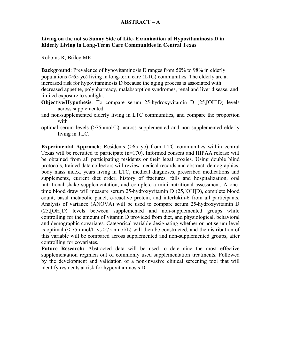#### **ABSTRACT – A**

#### **Living on the not so Sunny Side of Life- Examination of Hypovitaminosis D in Elderly Living in Long-Term Care Communities in Central Texas**

Robbins R, Briley ME

**Background**: Prevalence of hypovitaminosis D ranges from 50% to 98% in elderly populations (>65 yo) living in long-term care (LTC) communities. The elderly are at increased risk for hypovitaminosis D because the aging process is associated with decreased appetite, polypharmacy, malabsorption syndromes, renal and liver disease, and limited exposure to sunlight.

- **Objective/Hypothesis**: To compare serum 25-hydroxyvitamin D (25,[OH]D) levels across supplemented
- and non-supplemented elderly living in LTC communities, and compare the proportion with
- optimal serum levels  $($ >75nmol $/$ L), across supplemented and non-supplemented elderly living in TLC.

**Experimental Approach**: Residents (>65 yo) from LTC communities within central Texas will be recruited to participate (n=170). Informed consent and HIPAA release will be obtained from all participating residents or their legal proxies. Using double blind protocols, trained data collectors will review medical records and abstract: demographics, body mass index, years living in LTC, medical diagnoses, prescribed medications and supplements, current diet order, history of fractures, falls and hospitalization, oral nutritional shake supplementation, and complete a mini nutritional assessment. A onetime blood draw will measure serum 25-hydroxyvitamin D (25,[OH]D), complete blood count, basal metabolic panel, c-reactive protein, and interlukin-6 from all participants. Analysis of variance (ANOVA) will be used to compare serum 25-hydroxyvitamin D (25,[OH]D) levels between supplemented and non-supplemented groups while controlling for the amount of vitamin D provided from diet, and physiological, behavioral and demographic covariates. Categorical variable designating whether or not serum level is optimal  $\langle$  <-75 nmol/L vs >75 nmol/L) will then be constructed, and the distribution of this variable will be compared across supplemented and non-supplemented groups, after controlling for covariates.

**Future Research:** Abstracted data will be used to determine the most effective supplementation regimen out of commonly used supplementation treatments. Followed by the development and validation of a non-invasive clinical screening tool that will identify residents at risk for hypovitaminosis D.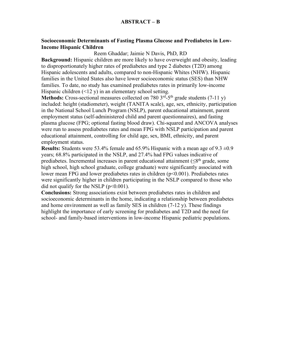#### **Socioeconomic Determinants of Fasting Plasma Glucose and Prediabetes in Low-Income Hispanic Children**

Reem Ghaddar; Jaimie N Davis, PhD, RD

**Background:** Hispanic children are more likely to have overweight and obesity, leading to disproportionately higher rates of prediabetes and type 2 diabetes (T2D) among Hispanic adolescents and adults, compared to non-Hispanic Whites (NHW). Hispanic families in the United States also have lower socioeconomic status (SES) than NHW families. To date, no study has examined prediabetes rates in primarily low-income Hispanic children  $(\leq 12 \text{ y})$  in an elementary school setting.

**Methods:** Cross-sectional measures collected on 780 3<sup>rd</sup>-5<sup>th</sup> grade students (7-11 y) included: height (stadiometer), weight (TANITA scale), age, sex, ethnicity, participation in the National School Lunch Program (NSLP), parent educational attainment, parent employment status (self-administered child and parent questionnaires), and fasting plasma glucose (FPG; optional fasting blood draw). Chi-squared and ANCOVA analyses were run to assess prediabetes rates and mean FPG with NSLP participation and parent educational attainment, controlling for child age, sex, BMI, ethnicity, and parent employment status.

**Results:** Students were 53.4% female and 65.9% Hispanic with a mean age of  $9.3 \pm 0.9$ years; 68.8% participated in the NSLP, and 27.4% had FPG values indicative of prediabetes. Incremental increases in parent educational attainment ( $\leq 8<sup>th</sup>$  grade, some high school, high school graduate, college graduate) were significantly associated with lower mean FPG and lower prediabetes rates in children ( $p<0.001$ ). Prediabetes rates were significantly higher in children participating in the NSLP compared to those who did not qualify for the NSLP  $(p<0.001)$ .

**Conclusions:** Strong associations exist between prediabetes rates in children and socioeconomic determinants in the home, indicating a relationship between prediabetes and home environment as well as family SES in children (7-12 y). These findings highlight the importance of early screening for prediabetes and T2D and the need for school- and family-based interventions in low-income Hispanic pediatric populations.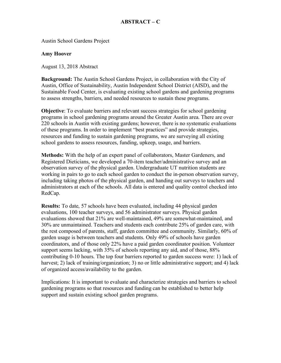Austin School Gardens Project

#### **Amy Hoover**

August 13, 2018 Abstract

**Background:** The Austin School Gardens Project, in collaboration with the City of Austin, Office of Sustainability, Austin Independent School District (AISD), and the Sustainable Food Center, is evaluating existing school gardens and gardening programs to assess strengths, barriers, and needed resources to sustain these programs.

**Objective**: To evaluate barriers and relevant success strategies for school gardening programs in school gardening programs around the Greater Austin area. There are over 220 schools in Austin with existing gardens; however, there is no systematic evaluations of these programs. In order to implement "best practices" and provide strategies, resources and funding to sustain gardening programs, we are surveying all existing school gardens to assess resources, funding, upkeep, usage, and barriers.

**Methods:** With the help of an expert panel of collaborators, Master Gardeners, and Registered Dieticians, we developed a 70-item teacher/administrative survey and an observation survey of the physical garden. Undergraduate UT nutrition students are working in pairs to go to each school garden to conduct the in-person observation survey, including taking photos of the physical garden, and handing out surveys to teachers and administrators at each of the schools. All data is entered and quality control checked into RedCap.

**Results:** To date, 57 schools have been evaluated, including 44 physical garden evaluations, 100 teacher surveys, and 56 administrator surveys. Physical garden evaluations showed that 21% are well-maintained, 49% are somewhat-maintained, and 30% are unmaintained. Teachers and students each contribute 25% of garden care, with the rest composed of parents, staff, garden committee and community. Similarly, 60% of garden usage is between teachers and students. Only 49% of schools have garden coordinators, and of those only 22% have a paid garden coordinator position. Volunteer support seems lacking, with 35% of schools reporting any aid, and of those, 88% contributing 0-10 hours. The top four barriers reported to garden success were: 1) lack of harvest; 2) lack of training/organization; 3) no or little administrative support; and 4) lack of organized access/availability to the garden.

Implications: It is important to evaluate and characterize strategies and barriers to school gardening programs so that resources and funding can be established to better help support and sustain existing school garden programs.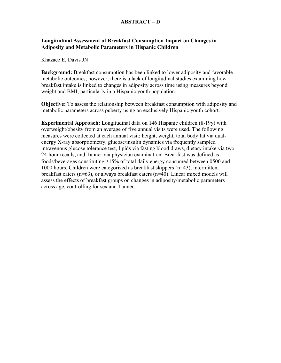#### **ABSTRACT – D**

#### **Longitudinal Assessment of Breakfast Consumption Impact on Changes in Adiposity and Metabolic Parameters in Hispanic Children**

Khazaee E, Davis JN

**Background:** Breakfast consumption has been linked to lower adiposity and favorable metabolic outcomes; however, there is a lack of longitudinal studies examining how breakfast intake is linked to changes in adiposity across time using measures beyond weight and BMI, particularly in a Hispanic youth population.

**Objective:** To assess the relationship between breakfast consumption with adiposity and metabolic parameters across puberty using an exclusively Hispanic youth cohort.

**Experimental Approach:** Longitudinal data on 146 Hispanic children (8-19y) with overweight/obesity from an average of five annual visits were used. The following measures were collected at each annual visit: height, weight, total body fat via dualenergy X-ray absorptiometry, glucose/insulin dynamics via frequently sampled intravenous glucose tolerance test, lipids via fasting blood draws, dietary intake via two 24-hour recalls, and Tanner via physician examination. Breakfast was defined as foods/beverages constituting  $\geq$ 15% of total daily energy consumed between 0500 and 1000 hours. Children were categorized as breakfast skippers (n=43), intermittent breakfast eaters (n=63), or always breakfast eaters (n=40). Linear mixed models will assess the effects of breakfast groups on changes in adiposity/metabolic parameters across age, controlling for sex and Tanner.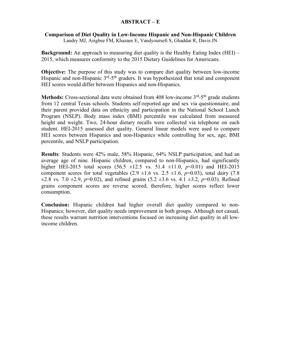#### **ABSTRACT – E**

#### **Comparison of Diet Quality in Low-Income Hispanic and Non-Hispanic Children**

Landry MJ, Asigbee FM, Khazaee E, Vandyoursefi S, Ghaddar R, Davis JN

**Background:** An approach to measuring diet quality is the Healthy Eating Index (HEI) – 2015, which measures conformity to the 2015 Dietary Guidelines for Americans.

**Objective:** The purpose of this study was to compare diet quality between low-income Hispanic and non-Hispanic  $3<sup>rd</sup> - 5<sup>th</sup>$  graders. It was hypothesized that total and component HEI scores would differ between Hispanics and non-Hispanics.

**Methods:** Cross-sectional data were obtained from 408 low-income 3<sup>rd</sup>-5<sup>th</sup> grade students from 12 central Texas schools. Students self-reported age and sex via questionnaire, and their parent provided data on ethnicity and participation in the National School Lunch Program (NSLP). Body mass index (BMI) percentile was calculated from measured height and weight. Two, 24-hour dietary recalls were collected via telephone on each student. HEI-2015 assessed diet quality. General linear models were used to compare HEI scores between Hispanics and non-Hispanics while controlling for sex, age, BMI percentile, and NSLP participation.

**Results**: Students were 42% male, 58% Hispanic, 64% NSLP participation, and had an average age of nine. Hispanic children, compared to non-Hispanics, had significantly higher HEI-2015 total scores  $(56.5 \pm 12.5 \text{ vs. } 51.4 \pm 11.0, p<0.01)$  and HEI-2015 component scores for total vegetables  $(2.9 \pm 1.6 \text{ vs. } 2.5 \pm 1.6, p=0.03)$ , total dairy  $(7.8 \pm 1.6)$  $\pm 2.8$  vs. 7.0  $\pm 2.9$ ,  $p=0.02$ ), and refined grains (5.2  $\pm 3.6$  vs. 4.1  $\pm 3.2$ ,  $p=0.03$ ). Refined grains component scores are reverse scored; therefore, higher scores reflect lower consumption.

**Conclusion:** Hispanic children had higher overall diet quality compared to non-Hispanics; however, diet quality needs improvement in both groups. Although not casual, these results warrant nutrition interventions focused on increasing diet quality in all lowincome children.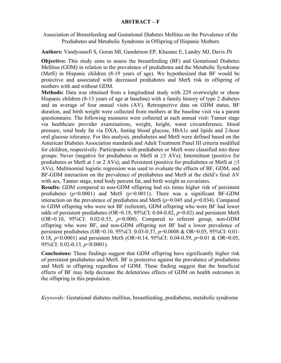#### **ABSTRACT – F**

Association of Breastfeeding and Gestational Diabetes Mellitus on the Prevalence of the Prediabetes and Metabolic Syndrome in Offspring of Hispanic Mothers

**Authors:** Vandyousefi S, Goran MI, Gunderson EP, Khazaee E, Landry MJ, Davis JN

**Objective:** This study aims to assess the breastfeeding (BF) and Gestational Diabetes Mellitus (GDM) in relation to the prevalence of prediabetes and the Metabolic Syndrome (MetS) in Hispanic children (8-19 years of age). We hypothesized that BF would be protective and associated with decreased prediabetes and MetS risk in offspring of mothers with and without GDM.

**Methods:** Data was obtained from a longitudinal study with 229 overweight or obese Hispanic children (8-13 years of age at baseline) with a family history of type 2 diabetes and an average of four annual visits (AV). Retrospective data on GDM status, BF duration, and birth weight were collected from mothers at the baseline visit via a parent questionnaire. The following measures were collected at each annual visit: Tanner stage via healthcare provider examinations, weight, height, waist circumference, blood pressure, total body fat via DXA, fasting blood glucose, HbA1c and lipids and 2-hour oral glucose tolerance. For this analysis, prediabetes and MetS were defined based on the American Diabetes Association standards and Adult Treatment Panel III criteria modified for children, respectively. Participants with prediabetes or MetS were classified into three groups: Never (negative for prediabetes or MetS at  $\geq$ 3 AVs); Intermittent (positive for prediabetes or MetS at 1 or 2 AVs); and Persistent (positive for prediabetes or MetS at  $\geq$ 3 AVs). Multinomial logistic regression was used to evaluate the effects of BF, GDM, and BF-GDM interaction on the prevalence of prediabetes and MetS at the child's final AV with sex, Tanner stage, total body percent fat, and birth weight as covariates.

**Results:** GDM compared to non-GDM offspring had six times higher risk of persistent prediabetes  $(p<0.0001)$  and MetS  $(p=0.0011)$ . There was a significant BF-GDM interaction on the prevalence of prediabetes and MetS ( $p=0.045$  and  $p=0.034$ ). Compared to GDM offspring who were not BF (referent), GDM offspring who were BF had lower odds of persistent prediabetes (OR=0.18, 95%CI: 0.04-0.82, *p*=0.02) and persistent MetS (OR=0.10, 95%CI: 0.02-0.55, *p*=0.008). Compared to referent group, non-GDM offspring who were BF, and non-GDM offspring not BF had a lower prevalence of persistent prediabetes (OR=0.10, 95%CI: 0.03-0.37, *p*=0.0008 & OR=0.05, 95%CI: 0.01- 0.18, *p*<0.0001) and persistent MetS (OR=0.14, 95%CI: 0.04-0.59, *p*=0.01 & OR=0.05, 95%CI: 0.02-0.13, *p*<0.0001).

**Conclusions:** These findings suggest that GDM offspring have significantly higher risk of persistent prediabetes and MetS. BF is protective against the prevalence of prediabetes and MetS in offspring regardless of GDM. These finding suggest that the beneficial effects of BF may help decrease the deleterious effects of GDM on health outcomes in the offspring in this population.

*Keywords:* Gestational diabetes mellitus, breastfeeding, prediabetes, metabolic syndrome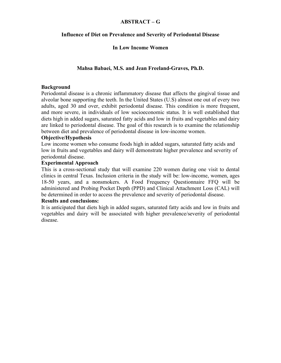#### **ABSTRACT – G**

#### **Influence of Diet on Prevalence and Severity of Periodontal Disease**

#### **In Low Income Women**

#### **Mahsa Babaei, M.S. and Jean Freeland-Graves, Ph.D.**

#### **Background**

Periodontal disease is a chronic inflammatory disease that affects the gingival tissue and alveolar bone supporting the teeth. In the United States (U.S) almost one out of every two adults, aged 30 and over, exhibit periodontal disease. This condition is more frequent, and more severe, in individuals of low socioeconomic status. It is well established that diets high in added sugars, saturated fatty acids and low in fruits and vegetables and dairy are linked to periodontal disease. The goal of this research is to examine the relationship between diet and prevalence of periodontal disease in low-income women.

#### **Objective/Hypothesis**

Low income women who consume foods high in added sugars, saturated fatty acids and low in fruits and vegetables and dairy will demonstrate higher prevalence and severity of periodontal disease.

#### **Experimental Approach**

This is a cross-sectional study that will examine 220 women during one visit to dental clinics in central Texas. Inclusion criteria in the study will be: low-income, women, ages 18-50 years, and a nonsmokers. A Food Frequency Questionnaire FFQ will be administered and Probing Pocket Depth (PPD) and Clinical Attachment Loss (CAL) will be determined in order to access the prevalence and severity of periodontal disease.

#### **Results and conclusions:**

It is anticipated that diets high in added sugars, saturated fatty acids and low in fruits and vegetables and dairy will be associated with higher prevalence/severity of periodontal disease.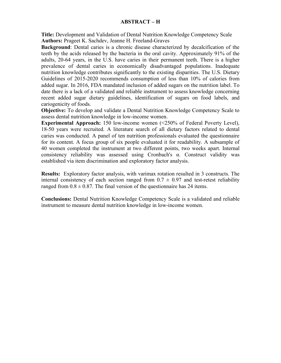#### **ABSTRACT – H**

**Title:** Development and Validation of Dental Nutrition Knowledge Competency Scale **Authors:** Prageet K. Sachdev, Jeanne H. Freeland-Graves

**Background**: Dental caries is a chronic disease characterized by decalcification of the teeth by the acids released by the bacteria in the oral cavity. Approximately 91% of the adults, 20-64 years, in the U.S. have caries in their permanent teeth. There is a higher prevalence of dental caries in economically disadvantaged populations. Inadequate nutrition knowledge contributes significantly to the existing disparities. The U.S. Dietary Guidelines of 2015-2020 recommends consumption of less than 10% of calories from added sugar. In 2016, FDA mandated inclusion of added sugars on the nutrition label. To date there is a lack of a validated and reliable instrument to assess knowledge concerning recent added sugar dietary guidelines, identification of sugars on food labels, and cariogenicity of foods.

**Objective:** To develop and validate a Dental Nutrition Knowledge Competency Scale to assess dental nutrition knowledge in low-income women.

**Experimental Approach:** 150 low-income women (<250% of Federal Poverty Level), 18-50 years were recruited. A literature search of all dietary factors related to dental caries was conducted. A panel of ten nutrition professionals evaluated the questionnaire for its content. A focus group of six people evaluated it for readability. A subsample of 40 women completed the instrument at two different points, two weeks apart. Internal consistency reliability was assessed using Cronbach's α. Construct validity was established via item discrimination and exploratory factor analysis.

**Results:** Exploratory factor analysis, with varimax rotation resulted in 3 constructs. The internal consistency of each section ranged from  $0.7 \pm 0.97$  and test-retest reliability ranged from  $0.8 \pm 0.87$ . The final version of the questionnaire has 24 items.

**Conclusions:** Dental Nutrition Knowledge Competency Scale is a validated and reliable instrument to measure dental nutrition knowledge in low-income women.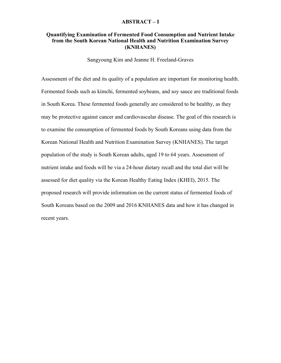#### **ABSTRACT – I**

#### **Quantifying Examination of Fermented Food Consumption and Nutrient Intake from the South Korean National Health and Nutrition Examination Survey (KNHANES)**

Sangyoung Kim and Jeanne H. Freeland-Graves

Assessment of the diet and its quality of a population are important for monitoring health. Fermented foods such as kimchi, fermented soybeans, and soy sauce are traditional foods in South Korea. These fermented foods generally are considered to be healthy, as they may be protective against cancer and cardiovascular disease. The goal of this research is to examine the consumption of fermented foods by South Koreans using data from the Korean National Health and Nutrition Examination Survey (KNHANES). The target population of the study is South Korean adults, aged 19 to 64 years. Assessment of nutrient intake and foods will be via a 24-hour dietary recall and the total diet will be assessed for diet quality via the Korean Healthy Eating Index (KHEI), 2015. The proposed research will provide information on the current status of fermented foods of South Koreans based on the 2009 and 2016 KNHANES data and how it has changed in recent years.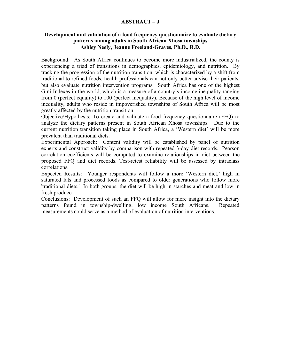#### **ABSTRACT – J**

#### **Development and validation of a food frequency questionnaire to evaluate dietary patterns among adults in South African Xhosa townships Ashley Neely, Jeanne Freeland-Graves, Ph.D., R.D.**

Background: As South Africa continues to become more industrialized, the county is experiencing a triad of transitions in demographics, epidemiology, and nutrition. By tracking the progression of the nutrition transition, which is characterized by a shift from traditional to refined foods, health professionals can not only better advise their patients, but also evaluate nutrition intervention programs. South Africa has one of the highest Gini Indexes in the world, which is a measure of a country's income inequality ranging from 0 (perfect equality) to 100 (perfect inequality). Because of the high level of income inequality, adults who reside in impoverished townships of South Africa will be most greatly affected by the nutrition transition.

Objective/Hypothesis: To create and validate a food frequency questionnaire (FFQ) to analyze the dietary patterns present in South African Xhosa townships. Due to the current nutrition transition taking place in South Africa, a 'Western diet' will be more prevalent than traditional diets.

Experimental Approach: Content validity will be established by panel of nutrition experts and construct validity by comparison with repeated 3-day diet records. Pearson correlation coefficients will be computed to examine relationships in diet between the proposed FFQ and diet records. Test-retest reliability will be assessed by intraclass correlations.

Expected Results: Younger respondents will follow a more 'Western diet,' high in saturated fats and processed foods as compared to older generations who follow more 'traditional diets.' In both groups, the diet will be high in starches and meat and low in fresh produce.

Conclusions: Development of such an FFQ will allow for more insight into the dietary patterns found in township-dwelling, low income South Africans. Repeated measurements could serve as a method of evaluation of nutrition interventions.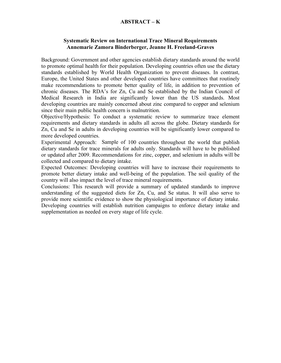#### **ABSTRACT – K**

#### **Systematic Review on International Trace Mineral Requirements Annemarie Zamora Binderberger, Jeanne H. Freeland-Graves**

Background: Government and other agencies establish dietary standards around the world to promote optimal health for their population. Developing countries often use the dietary standards established by World Health Organization to prevent diseases. In contrast, Europe, the United States and other developed countries have committees that routinely make recommendations to promote better quality of life, in addition to prevention of chronic diseases. The RDA's for Zn, Cu and Se established by the Indian Council of Medical Research in India are significantly lower than the US standards. Most developing countries are mainly concerned about zinc compared to copper and selenium since their main public health concern is malnutrition.

Objective/Hypothesis: To conduct a systematic review to summarize trace element requirements and dietary standards in adults all across the globe. Dietary standards for Zn, Cu and Se in adults in developing countries will be significantly lower compared to more developed countries.

Experimental Approach: Sample of 100 countries throughout the world that publish dietary standards for trace minerals for adults only. Standards will have to be published or updated after 2009. Recommendations for zinc, copper, and selenium in adults will be collected and compared to dietary intake.

Expected Outcomes: Developing countries will have to increase their requirements to promote better dietary intake and well-being of the population. The soil quality of the country will also impact the level of trace mineral requirements.

Conclusions: This research will provide a summary of updated standards to improve understanding of the suggested diets for Zn, Cu, and Se status. It will also serve to provide more scientific evidence to show the physiological importance of dietary intake. Developing countries will establish nutrition campaigns to enforce dietary intake and supplementation as needed on every stage of life cycle.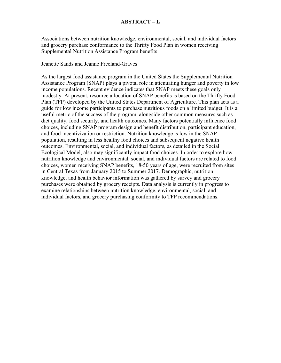Associations between nutrition knowledge, environmental, social, and individual factors and grocery purchase conformance to the Thrifty Food Plan in women receiving Supplemental Nutrition Assistance Program benefits

Jeanette Sands and Jeanne Freeland-Graves

As the largest food assistance program in the United States the Supplemental Nutrition Assistance Program (SNAP) plays a pivotal role in attenuating hunger and poverty in low income populations. Recent evidence indicates that SNAP meets these goals only modestly. At present, resource allocation of SNAP benefits is based on the Thrifty Food Plan (TFP) developed by the United States Department of Agriculture. This plan acts as a guide for low income participants to purchase nutritious foods on a limited budget. It is a useful metric of the success of the program, alongside other common measures such as diet quality, food security, and health outcomes. Many factors potentially influence food choices, including SNAP program design and benefit distribution, participant education, and food incentivization or restriction. Nutrition knowledge is low in the SNAP population, resulting in less healthy food choices and subsequent negative health outcomes. Environmental, social, and individual factors, as detailed in the Social Ecological Model, also may significantly impact food choices. In order to explore how nutrition knowledge and environmental, social, and individual factors are related to food choices, women receiving SNAP benefits, 18-50 years of age, were recruited from sites in Central Texas from January 2015 to Summer 2017. Demographic, nutrition knowledge, and health behavior information was gathered by survey and grocery purchases were obtained by grocery receipts. Data analysis is currently in progress to examine relationships between nutrition knowledge, environmental, social, and individual factors, and grocery purchasing conformity to TFP recommendations.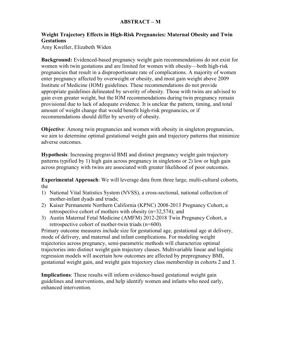#### **ABSTRACT – M**

#### **Weight Trajectory Effects in High-Risk Pregnancies: Maternal Obesity and Twin Gestations**

Amy Kweller, Elizabeth Widen

**Background:** Evidenced-based pregnancy weight gain recommendations do not exist for women with twin gestations and are limited for women with obesity—both high-risk pregnancies that result in a disproportionate rate of complications. A majority of women enter pregnancy affected by overweight or obesity, and most gain weight above 2009 Institute of Medicine (IOM) guidelines. These recommendations do not provide appropriate guidelines delineated by severity of obesity. Those with twins are advised to gain even greater weight, but the IOM recommendations during twin pregnancy remain provisional due to lack of adequate evidence. It is unclear the pattern, timing, and total amount of weight change that would benefit high-risk pregnancies, or if recommendations should differ by severity of obesity.

**Objective**: Among twin pregnancies and women with obesity in singleton pregnancies, we aim to determine optimal gestational weight gain and trajectory patterns that minimize adverse outcomes.

**Hypothesis**: Increasing pregravid BMI and distinct pregnancy weight gain trajectory patterns typified by 1) high gain across pregnancy in singletons or 2) low or high gain across pregnancy with twins are associated with greater likelihood of poor outcomes.

**Experimental Approach**: We will leverage data from three large, multi-cultural cohorts, the

- 1) National Vital Statistics System (NVSS), a cross-sectional, national collection of mother-infant dyads and triads;
- 2) Kaiser Permanente Northern California (KPNC) 2008-2013 Pregnancy Cohort, a retrospective cohort of mothers with obesity (n=32,574); and
- 3) Austin Maternal Fetal Medicine (AMFM) 2012-2018 Twin Pregnancy Cohort, a retrospective cohort of mother-twin triads (n=600).

Primary outcome measures include size for gestational age, gestational age at delivery, mode of delivery, and maternal and infant complications. For modeling weight trajectories across pregnancy, semi-parametric methods will characterize optimal trajectories into distinct weight gain trajectory classes. Multivariable linear and logistic regression models will ascertain how outcomes are affected by prepregnancy BMI, gestational weight gain, and weight gain trajectory class membership in cohorts 2 and 3.

**Implications**: These results will inform evidence-based gestational weight gain guidelines and interventions, and help identify women and infants who need early, enhanced intervention.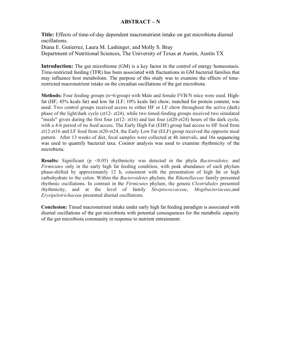#### **ABSTRACT – N**

**Title:** Effects of time-of-day dependent macronutrient intake on gut microbiota diurnal oscillations. Diana E. Gutierrez, Laura M. Lashinger, and Molly S. Bray Department of Nutritional Sciences, The University of Texas at Austin, Austin TX

**Introduction:** The gut microbiome (GM) is a key factor in the control of energy homeostasis. Time-restricted feeding (TFR) has been associated with fluctuations in GM bacterial families that may influence host metabolism. The purpose of this study was to examine the effects of timerestricted macronutrient intake on the circadian oscillations of the gut microbiota.

**Methods:** Four feeding groups (n=6/group) with Male and female FVB/N mice were used. Highfat (HF; 45% kcals fat) and low fat (LF; 10% kcals fat) chow, matched for protein content, was used. Two control groups received access to either HF or LF chow throughout the active (dark) phase of the light/dark cycle (zt12- zt24), while two timed-feeding groups received two simulated "meals" given during the first four  $(zt12-zt16)$  and last four  $(zt20-zt24)$  hours of the dark cycle, with a 4-h period of no food access. The Early High Fat (EHF) group had access to HF food from zt12-zt16 and LF food from zt20-zt24, the Early Low Fat (ELF) group received the opposite meal pattern. After 13 weeks of diet, fecal samples were collected at 4h intervals, and 16s sequencing was used to quantify bacterial taxa. Cosinor analysis was used to examine rhythmicity of the microbiota.

**Results:** Significant (p <0.05) rhythmicity was detected in the phyla *Bacteroidetes*, and *Firmicutes* only in the early high fat feeding condition, with peak abundance of each phylum phase-shifted by approximately 12 h, consistent with the presentation of high fat or high carbohydrate to the colon. Within the *Bacteroidetes* phylum, the *Rikenellaceae* family presented rhythmic oscillations. In contrast in the *Firmicutes* phylum, the genera *Clostridiales* presented rhythmicity, and at the level of family *Streptococcaceae*, *Mogibacteriaceae*,and *Erysipelotrichaceae* presented diurnal oscillations.

**Conclusion:** Timed macronutrient intake under early high fat feeding paradigm is associated with diurnal oscillations of the gut microbiota with potential consequences for the metabolic capacity of the gut microbiota community in response to nutrient entrainment.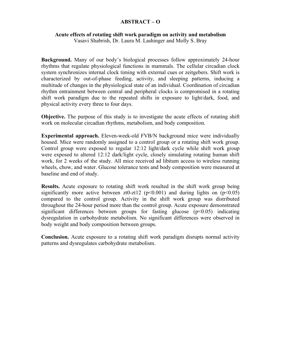#### **ABSTRACT – O**

#### **Acute effects of rotating shift work paradigm on activity and metabolism**

Vasavi Shabrish, Dr. Laura M. Lashinger and Molly S. Bray

**Background.** Many of our body's biological processes follow approximately 24-hour rhythms that regulate physiological functions in mammals. The cellular circadian clock system synchronizes internal clock timing with external cues or zeitgebers. Shift work is characterized by out-of-phase feeding, activity, and sleeping patterns, inducing a multitude of changes in the physiological state of an individual. Coordination of circadian rhythm entrainment between central and peripheral clocks is compromised in a rotating shift work paradigm due to the repeated shifts in exposure to light/dark, food, and physical activity every three to four days.

**Objective.** The purpose of this study is to investigate the acute effects of rotating shift work on molecular circadian rhythms, metabolism, and body composition.

**Experimental approach.** Eleven-week-old FVB/N background mice were individually housed. Mice were randomly assigned to a control group or a rotating shift work group. Control group were exposed to regular 12:12 light/dark cycle while shift work group were exposed to altered 12:12 dark/light cycle, closely simulating rotating human shift work, for 2 weeks of the study. All mice received ad libitum access to wireless running wheels, chow, and water. Glucose tolerance tests and body composition were measured at baseline and end of study.

**Results.** Acute exposure to rotating shift work resulted in the shift work group being significantly more active between zt0-zt12 ( $p<0.001$ ) and during lights on ( $p<0.05$ ) compared to the control group. Activity in the shift work group was distributed throughout the 24-hour period more than the control group. Acute exposure demonstrated significant differences between groups for fasting glucose  $(p<0.05)$  indicating dysregulation in carbohydrate metabolism. No significant differences were observed in body weight and body composition between groups.

**Conclusion.** Acute exposure to a rotating shift work paradigm disrupts normal activity patterns and dysregulates carbohydrate metabolism.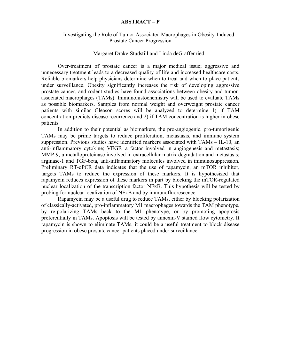#### **ABSTRACT – P**

#### Investigating the Role of Tumor Associated Macrophages in Obesity-Induced Prostate Cancer Progression

#### Margaret Drake-Studstill and Linda deGraffenried

Over-treatment of prostate cancer is a major medical issue; aggressive and unnecessary treatment leads to a decreased quality of life and increased healthcare costs. Reliable biomarkers help physicians determine when to treat and when to place patients under surveillance. Obesity significantly increases the risk of developing aggressive prostate cancer, and rodent studies have found associations between obesity and tumorassociated macrophages (TAMs). Immunohistochemistry will be used to evaluate TAMs as possible biomarkers. Samples from normal weight and overweight prostate cancer patients with similar Gleason scores will be analyzed to determine 1) if TAM concentration predicts disease recurrence and 2) if TAM concentration is higher in obese patients.

In addition to their potential as biomarkers, the pro-angiogenic, pro-tumorigenic TAMs may be prime targets to reduce proliferation, metastasis, and immune system suppression. Previous studies have identified markers associated with TAMs – IL-10, an anti-inflammatory cytokine; VEGF, a factor involved in angiogenesis and metastasis; MMP-9, a metalloproteinase involved in extracellular matrix degradation and metastasis; arginase-1 and TGF-beta, anti-inflammatory molecules involved in immunosuppression. Preliminary RT-qPCR data indicates that the use of rapamycin, an mTOR inhibitor, targets TAMs to reduce the expression of these markers. It is hypothesized that rapamycin reduces expression of these markers in part by blocking the mTOR-regulated nuclear localization of the transcription factor NF<sub>KB</sub>. This hypothesis will be tested by probing for nuclear localization of NFĸB and by immunofluorescence.

Rapamycin may be a useful drug to reduce TAMs, either by blocking polarization of classically-activated, pro-inflammatory M1 macrophages towards the TAM phenotype, by re-polarizing TAMs back to the M1 phenotype, or by promoting apoptosis preferentially in TAMs. Apoptosis will be tested by annexin-V stained flow cytometry. If rapamycin is shown to eliminate TAMs, it could be a useful treatment to block disease progression in obese prostate cancer patients placed under surveillance.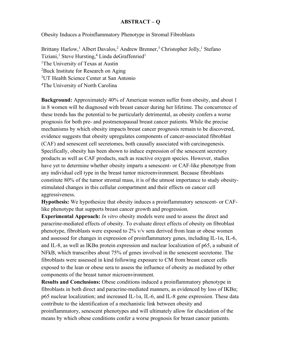#### **ABSTRACT – Q**

Obesity Induces a Proinflammatory Phenotype in Stromal Fibroblasts

Brittany Harlow,<sup>1</sup> Albert Davalos,<sup>2</sup> Andrew Brenner,<sup>3</sup> Christopher Jolly,<sup>1</sup> Stefano Tiziani,<sup>1</sup> Steve Hursting,<sup>4</sup> Linda deGraffenried<sup>1</sup> <sup>1</sup>The University of Texas at Austin 2 Buck Institute for Research on Aging 3UT Health Science Center at San Antonio 4The University of North Carolina

**Background:** Approximately 40% of American women suffer from obesity, and about 1 in 8 women will be diagnosed with breast cancer during her lifetime. The concurrence of these trends has the potential to be particularly detrimental, as obesity confers a worse prognosis for both pre- and postmenopausal breast cancer patients. While the precise mechanisms by which obesity impacts breast cancer prognosis remain to be discovered, evidence suggests that obesity upregulates components of cancer-associated fibroblast (CAF) and senescent cell secretomes, both causally associated with carcinogenesis. Specifically, obesity has been shown to induce expression of the senescent secretory products as well as CAF products, such as reactive oxygen species. However, studies have yet to determine whether obesity imparts a senescent- or CAF-like phenotype from any individual cell type in the breast tumor microenvironment. Because fibroblasts constitute 80% of the tumor stromal mass, it is of the utmost importance to study obesitystimulated changes in this cellular compartment and their effects on cancer cell aggressiveness.

**Hypothesis:** We hypothesize that obesity induces a proinflammatory senescent- or CAFlike phenotype that supports breast cancer growth and progression.

**Experimental Approach:** *In vitro* obesity models were used to assess the direct and paracrine-mediated effects of obesity. To evaluate direct effects of obesity on fibroblast phenotype, fibroblasts were exposed to 2% v/v sera derived from lean or obese women and assessed for changes in expression of proinflammatory genes, including IL-1α, IL-6, and IL-8, as well as IKBα protein expression and nuclear localization of p65, a subunit of NFkB, which transcribes about 75% of genes involved in the senescent secretome. The fibroblasts were assessed in kind following exposure to CM from breast cancer cells exposed to the lean or obese sera to assess the influence of obesity as mediated by other components of the breast tumor microenvironment.

**Results and Conclusions:** Obese conditions induced a proinflammatory phenotype in fibroblasts in both direct and paracrine-mediated manners, as evidenced by loss of IKBα; p65 nuclear localization; and increased IL-1 $\alpha$ , IL-6, and IL-8 gene expression. These data contribute to the identification of a mechanistic link between obesity and proinflammatory, senescent phenotypes and will ultimately allow for elucidation of the means by which obese conditions confer a worse prognosis for breast cancer patients.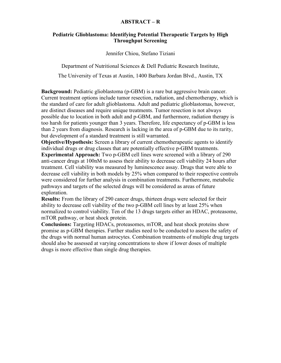#### **ABSTRACT – R**

#### **Pediatric Glioblastoma: Identifying Potential Therapeutic Targets by High Throughput Screening**

Jennifer Chiou, Stefano Tiziani

Department of Nutritional Sciences & Dell Pediatric Research Institute, The University of Texas at Austin, 1400 Barbara Jordan Blvd., Austin, TX

**Background:** Pediatric glioblastoma (p-GBM) is a rare but aggressive brain cancer. Current treatment options include tumor resection, radiation, and chemotherapy, which is the standard of care for adult glioblastoma. Adult and pediatric glioblastomas, however, are distinct diseases and require unique treatments. Tumor resection is not always possible due to location in both adult and p-GBM, and furthermore, radiation therapy is too harsh for patients younger than 3 years. Therefore, life expectancy of p-GBM is less than 2 years from diagnosis. Research is lacking in the area of p-GBM due to its rarity, but development of a standard treatment is still warranted.

**Objective/Hypothesis:** Screen a library of current chemotherapeutic agents to identify individual drugs or drug classes that are potentially effective p-GBM treatments.

**Experimental Approach:** Two p-GBM cell lines were screened with a library of 290 anti-cancer drugs at 100nM to assess their ability to decrease cell viability 24 hours after treatment. Cell viability was measured by luminescence assay. Drugs that were able to decrease cell viability in both models by 25% when compared to their respective controls were considered for further analysis in combination treatments. Furthermore, metabolic pathways and targets of the selected drugs will be considered as areas of future exploration.

**Results:** From the library of 290 cancer drugs, thirteen drugs were selected for their ability to decrease cell viability of the two p-GBM cell lines by at least 25% when normalized to control viability. Ten of the 13 drugs targets either an HDAC, proteasome, mTOR pathway, or heat shock protein.

**Conclusions:** Targeting HDACs, proteasomes, mTOR, and heat shock proteins show promise as p-GBM therapies. Further studies need to be conducted to assess the safety of the drugs with normal human astrocytes. Combination treatments of multiple drug targets should also be assessed at varying concentrations to show if lower doses of multiple drugs is more effective than single drug therapies.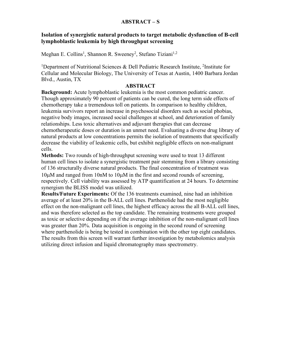#### **ABSTRACT – S**

#### **Isolation of synergistic natural products to target metabolic dysfunction of B-cell lymphoblastic leukemia by high throughput screening**

Meghan E. Collins<sup>1</sup>, Shannon R. Sweeney<sup>2</sup>, Stefano Tiziani<sup>1,2</sup>

<sup>1</sup>Department of Nutritional Sciences & Dell Pediatric Research Institute, <sup>2</sup>Institute for Cellular and Molecular Biology, The University of Texas at Austin, 1400 Barbara Jordan Blvd., Austin, TX

#### **ABSTRACT**

**Background:** Acute lymphoblastic leukemia is the most common pediatric cancer. Though approximately 90 percent of patients can be cured, the long term side effects of chemotherapy take a tremendous toll on patients. In comparison to healthy children, leukemia survivors report an increase in psychosocial disorders such as social phobias, negative body images, increased social challenges at school, and deterioration of family relationships. Less toxic alternatives and adjuvant therapies that can decrease chemotherapeutic doses or duration is an unmet need. Evaluating a diverse drug library of natural products at low concentrations permits the isolation of treatments that specifically decrease the viability of leukemic cells, but exhibit negligible effects on non-malignant cells.

**Methods:** Two rounds of high-throughput screening were used to treat 13 different human cell lines to isolate a synergistic treatment pair stemming from a library consisting of 136 structurally diverse natural products. The final concentration of treatment was 10µM and ranged from 10nM to 10µM in the first and second rounds of screening, respectively. Cell viability was assessed by ATP quantification at 24 hours. To determine synergism the BLISS model was utilized.

**Results/Future Experiments:** Of the 136 treatments examined, nine had an inhibition average of at least 20% in the B-ALL cell lines. Parthenolide had the most negligible effect on the non-malignant cell lines, the highest efficacy across the all B-ALL cell lines, and was therefore selected as the top candidate. The remaining treatments were grouped as toxic or selective depending on if the average inhibition of the non-malignant cell lines was greater than 20%. Data acquisition is ongoing in the second round of screening where parthenolide is being be tested in combination with the other top eight candidates. The results from this screen will warrant further investigation by metabolomics analysis utilizing direct infusion and liquid chromatography mass spectrometry.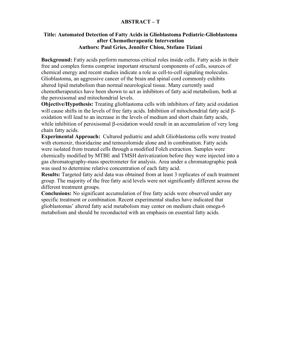#### **ABSTRACT – T**

#### **Title: Automated Detection of Fatty Acids in Glioblastoma Pediatric-Glioblastoma after Chemotherapeutic Intervention Authors: Paul Gries, Jennifer Chiou, Stefano Tiziani**

**Background:** Fatty acids perform numerous critical roles inside cells. Fatty acids in their free and complex forms comprise important structural components of cells, sources of chemical energy and recent studies indicate a role as cell-to-cell signaling molecules. Glioblastoma, an aggressive cancer of the brain and spinal cord commonly exhibits altered lipid metabolism than normal neurological tissue. Many currently used chemotherapeutics have been shown to act as inhibitors of fatty acid metabolism, both at the peroxisomal and mitochondrial levels.

**Objective/Hypothesis:** Treating glioblastoma cells with inhibitors of fatty acid oxidation will cause shifts in the levels of free fatty acids. Inhibition of mitochondrial fatty acid  $\beta$ oxidation will lead to an increase in the levels of medium and short chain fatty acids, while inhibition of peroxisomal B-oxidation would result in an accumulation of very long chain fatty acids.

**Experimental Approach:** Cultured pediatric and adult Glioblastoma cells were treated with etomoxir, thioridazine and temozolomide alone and in combination. Fatty acids were isolated from treated cells through a modified Folch extraction. Samples were chemically modified by MTBE and TMSH derivatization before they were injected into a gas chromatography-mass spectrometer for analysis. Area under a chromatographic peak was used to determine relative concentration of each fatty acid.

**Results:** Targeted fatty acid data was obtained from at least 3 replicates of each treatment group. The majority of the free fatty acid levels were not significantly different across the different treatment groups.

**Conclusions:** No significant accumulation of free fatty acids were observed under any specific treatment or combination. Recent experimental studies have indicated that glioblastomas' altered fatty acid metabolism may center on medium chain omega-6 metabolism and should be reconducted with an emphasis on essential fatty acids.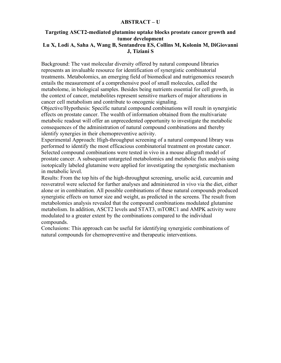#### **ABSTRACT – U**

#### **Targeting ASCT2-mediated glutamine uptake blocks prostate cancer growth and tumor development**

#### **Lu X, Lodi A, Saha A, Wang B, Sentandreu ES, Collins M, Kolonin M, DiGiovanni J, Tiziani S**

Background: The vast molecular diversity offered by natural compound libraries represents an invaluable resource for identification of synergistic combinatorial treatments. Metabolomics, an emerging field of biomedical and nutrigenomics research entails the measurement of a comprehensive pool of small molecules, called the metabolome, in biological samples. Besides being nutrients essential for cell growth, in the context of cancer, metabolites represent sensitive markers of major alterations in cancer cell metabolism and contribute to oncogenic signaling.

Objective/Hypothesis: Specific natural compound combinations will result in synergistic effects on prostate cancer. The wealth of information obtained from the multivariate metabolic readout will offer an unprecedented opportunity to investigate the metabolic consequences of the administration of natural compound combinations and thereby identify synergies in their chemopreventive activity.

Experimental Approach: High-throughput screening of a natural compound library was performed to identify the most efficacious combinatorial treatment on prostate cancer. Selected compound combinations were tested in vivo in a mouse allograft model of prostate cancer. A subsequent untargeted metabolomics and metabolic flux analysis using isotopically labeled glutamine were applied for investigating the synergistic mechanism in metabolic level.

Results: From the top hits of the high-throughput screening, ursolic acid, curcumin and resveratrol were selected for further analyses and administered in vivo via the diet, either alone or in combination. All possible combinations of these natural compounds produced synergistic effects on tumor size and weight, as predicted in the screens. The result from metabolomics analysis revealed that the compound combinations modulated glutamine metabolism. In addition, ASCT2 levels and STAT3, mTORC1 and AMPK activity were modulated to a greater extent by the combinations compared to the individual compounds.

Conclusions: This approach can be useful for identifying synergistic combinations of natural compounds for chemopreventive and therapeutic interventions.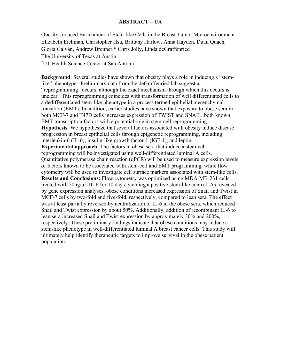#### **ABSTRACT – UA**

Obesity-Induced Enrichment of Stem-like Cells in the Breast Tumor Microenvironment Elizabeth Eichman, Christopher Hsu, Brittany Harlow, Anna Hayden, Duan Quach, Gloria Galván, Andrew Brenner,\* Chris Jolly, Linda deGraffenried The University of Texas at Austin \* UT Health Science Center at San Antonio

**Background**: Several studies have shown that obesity plays a role in inducing a "stemlike" phenotype. Preliminary data from the deGraffenried lab suggest a "reprogramming" occurs, although the exact mechanism through which this occurs is unclear. This reprogramming coincides with transformation of well differentiated cells to a dedifferentiated stem-like phenotype in a process termed epithelial mesenchymal transition (EMT). In addition, earlier studies have shown that exposure to obese sera in both MCF-7 and T47D cells increases expression of TWIST and SNAIL, both known EMT transcription factors with a potential role in stem-cell reprogramming. **Hypothesis**: We hypothesize that several factors associated with obesity induce disease progression in breast epithelial cells through epigenetic reprogramming, including interleukin-6 (IL-6), insulin-like growth factor-1 (IGF-1), and leptin. **Experimental approach**: The factors in obese sera that induce a stem-cell reprogramming will be investigated using well-differentiated luminal A cells. Quantitative polymerase chain reaction (qPCR) will be used to measure expression levels of factors known to be associated with stem-cell and EMT programming, while flow cytometry will be used to investigate cell surface markers associated with stem-like cells. **Results and Conclusions:** Flow cytometry was optimized using MDA-MB-231 cells treated with 50ng/uL IL-6 for 10 days, yielding a positive stem-like control. As revealed by gene expression analyses, obese conditions increased expression of Snail and Twist in MCF-7 cells by two-fold and five-fold, respectively, compared to lean sera. The effect was at least partially reversed by neutralization of IL-6 in the obese sera, which reduced Snail and Twist expression by about 50%. Additionally, addition of recombinant IL-6 to lean sera increased Snail and Twist expression by approximately 30% and 200%, respectively. These preliminary findings indicate that obese conditions may induce a stem-like phenotype in well-differentiated luminal A breast cancer cells. This study will ultimately help identify therapeutic targets to improve survival in the obese patient population.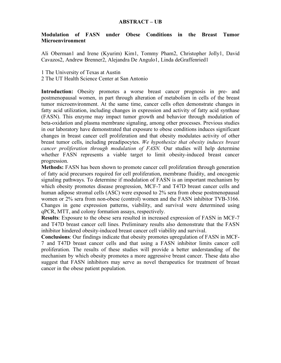#### **Modulation of FASN under Obese Conditions in the Breast Tumor Microenvironment**

Ali Oberman1 and Irene (Kyurim) Kim1, Tommy Pham2, Christopher Jolly1, David Cavazos2, Andrew Brenner2, Alejandra De Angulo1, Linda deGraffenried1

1 The University of Texas at Austin

2 The UT Health Science Center at San Antonio

Introduction: Obesity promotes a worse breast cancer prognosis in pre- and postmenopausal women, in part through alteration of metabolism in cells of the breast tumor microenvironment. At the same time, cancer cells often demonstrate changes in fatty acid utilization, including changes in expression and activity of fatty acid synthase (FASN). This enzyme may impact tumor growth and behavior through modulation of beta-oxidation and plasma membrane signaling, among other processes. Previous studies in our laboratory have demonstrated that exposure to obese conditions induces significant changes in breast cancer cell proliferation and that obesity modulates activity of other breast tumor cells, including preadipocytes. *We hypothesize that obesity induces breast cancer proliferation through modulation of FASN.* Our studies will help determine whether FASN represents a viable target to limit obesity-induced breast cancer progression.

**Methods:** FASN has been shown to promote cancer cell proliferation through generation of fatty acid precursors required for cell proliferation, membrane fluidity, and oncogenic signaling pathways. To determine if modulation of FASN is an important mechanism by which obesity promotes disease progression, MCF-7 and T47D breast cancer cells and human adipose stromal cells (ASC) were exposed to 2% sera from obese postmenopausal women or 2% sera from non-obese (control) women and the FASN inhibitor TVB-3166. Changes in gene expression patterns, viability, and survival were determined using qPCR, MTT, and colony formation assays, respectively.

**Results**: Exposure to the obese sera resulted in increased expression of FASN in MCF-7 and T47D breast cancer cell lines. Preliminary results also demonstrate that the FASN inhibitor hindered obesity-induced breast cancer cell viability and survival.

**Conclusions**: Our findings indicate that obesity promotes upregulation of FASN in MCF-7 and T47D breast cancer cells and that using a FASN inhibitor limits cancer cell proliferation. The results of these studies will provide a better understanding of the mechanism by which obesity promotes a more aggressive breast cancer. These data also suggest that FASN inhibitors may serve as novel therapeutics for treatment of breast cancer in the obese patient population.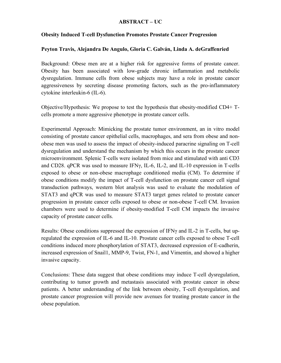#### **ABSTRACT – UC**

#### **Obesity Induced T-cell Dysfunction Promotes Prostate Cancer Progression**

#### **Peyton Travis, Alejandra De Angulo, Gloria C. Galván, Linda A. deGraffenried**

Background: Obese men are at a higher risk for aggressive forms of prostate cancer. Obesity has been associated with low-grade chronic inflammation and metabolic dysregulation. Immune cells from obese subjects may have a role in prostate cancer aggressiveness by secreting disease promoting factors, such as the pro-inflammatory cytokine interleukin-6 (IL-6).

Objective/Hypothesis: We propose to test the hypothesis that obesity-modified CD4+ Tcells promote a more aggressive phenotype in prostate cancer cells.

Experimental Approach: Mimicking the prostate tumor environment, an in vitro model consisting of prostate cancer epithelial cells, macrophages, and sera from obese and nonobese men was used to assess the impact of obesity-induced paracrine signaling on T-cell dysregulation and understand the mechanism by which this occurs in the prostate cancer microenvironment. Splenic T-cells were isolated from mice and stimulated with anti CD3 and CD28. qPCR was used to measure IFNγ, IL-6, IL-2, and IL-10 expression in T-cells exposed to obese or non-obese macrophage conditioned media (CM). To determine if obese conditions modify the impact of T-cell dysfunction on prostate cancer cell signal transduction pathways, western blot analysis was used to evaluate the modulation of STAT3 and qPCR was used to measure STAT3 target genes related to prostate cancer progression in prostate cancer cells exposed to obese or non-obese T-cell CM. Invasion chambers were used to determine if obesity-modified T-cell CM impacts the invasive capacity of prostate cancer cells.

Results: Obese conditions suppressed the expression of IFNγ and IL-2 in T-cells, but upregulated the expression of IL-6 and IL-10. Prostate cancer cells exposed to obese T-cell conditions induced more phosphorylation of STAT3, decreased expression of E-cadherin, increased expression of Snail1, MMP-9, Twist, FN-1, and Vimentin, and showed a higher invasive capacity.

Conclusions: These data suggest that obese conditions may induce T-cell dysregulation, contributing to tumor growth and metastasis associated with prostate cancer in obese patients. A better understanding of the link between obesity, T-cell dysregulation, and prostate cancer progression will provide new avenues for treating prostate cancer in the obese population.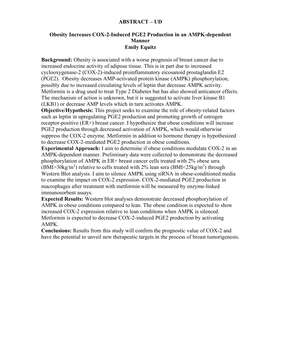#### **ABSTRACT – UD**

#### **Obesity Increases COX-2-Induced PGE2 Production in an AMPK-dependent Manner Emily Equitz**

**Background:** Obesity is associated with a worse prognosis of breast cancer due to increased endocrine activity of adipose tissue. This is in part due to increased cyclooxygenase-2 (COX-2)-induced proinflammatory eicosanoid prostaglandin E2 (PGE2). Obesity decreases AMP-activated protein kinase (AMPK) phosphorylation, possibly due to increased circulating levels of leptin that decrease AMPK activity. Metformin is a drug used to treat Type 2 Diabetes but has also showed anticancer effects. The mechanism of action is unknown, but it is suggested to activate liver kinase B1 (LKB1) or decrease AMP levels which in turn activates AMPK.

**Objective/Hypothesis:** This project seeks to examine the role of obesity-related factors such as leptin in upregulating PGE2 production and promoting growth of estrogen receptor-positive (ER+) breast cancer. I hypothesize that obese conditions will increase PGE2 production through decreased activation of AMPK, which would otherwise suppress the COX-2 enzyme. Metformin in addition to hormone therapy is hypothesized to decrease COX-2-mediated PGE2 production in obese conditions.

**Experimental Approach:** I aim to determine if obese conditions modulate COX-2 in an AMPK-dependent manner. Preliminary data were collected to demonstrate the decreased phosphorylation of AMPK in ER+ breast cancer cells treated with 2% obese sera (BMI>30kg/m<sup>2</sup>) relative to cells treated with 2% lean sera (BMI<25kg/m<sup>2</sup>) through Western Blot analysis. I aim to silence AMPK using siRNA in obese-conditioned media to examine the impact on COX-2 expression. COX-2-mediated PGE2 production in macrophages after treatment with metformin will be measured by enzyme-linked immunosorbent assays.

**Expected Results:** Western blot analyses demonstrate decreased phosphorylation of AMPK in obese conditions compared to lean. The obese condition is expected to show increased COX-2 expression relative to lean conditions when AMPK is silenced. Metformin is expected to decrease COX-2-induced PGE2 production by activating AMPK.

**Conclusions:** Results from this study will confirm the prognostic value of COX-2 and have the potential to unveil new therapeutic targets in the process of breast tumorigenesis.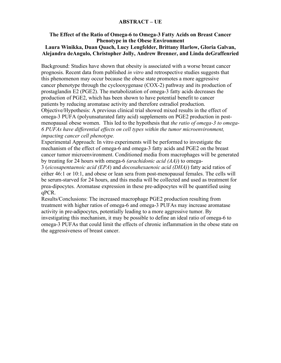#### **ABSTRACT – UE**

#### **The Effect of the Ratio of Omega-6 to Omega-3 Fatty Acids on Breast Cancer Phenotype in the Obese Environment Laura Winikka, Duan Quach, Lucy Lengfelder, Brittany Harlow, Gloria Galvan, Alejandra deAngulo, Christopher Jolly, Andrew Brenner, and Linda deGraffenried**

Background: Studies have shown that obesity is associated with a worse breast cancer prognosis. Recent data from published *in vitro* and retrospective studies suggests that this phenomenon may occur because the obese state promotes a more aggressive cancer phenotype through the cyclooxygenase (COX-2) pathway and its production of prostaglandin E2 (PGE2). The metabolization of omega-3 fatty acids decreases the production of PGE2, which has been shown to have potential benefit to cancer patients by reducing aromatase activity and therefore estradiol production. Objective/Hypothesis: A previous clinical trial showed mixed results in the effect of omega-3 PUFA (polyunsaturated fatty acid) supplements on PGE2 production in postmenopausal obese women. This led to the hypothesis that *the ratio of omega-3 to omega-6 PUFAs have differential effects on cell types within the tumor microenvironment, impacting cancer cell phenotype.* 

Experimental Approach: In vitro experiments will be performed to investigate the mechanism of the effect of omega-6 and omega-3 fatty acids and PGE2 on the breast cancer tumor microenvironment. Conditioned media from macrophages will be generated by treating for 24 hours with omega-6 *(arachidonic acid (AA)*) to omega-

3 (*eicosapentaenoic acid (EPA*) and *docosahexaenoic acid (DHA)*) fatty acid ratios of either 46:1 or 10:1, and obese or lean sera from post-menopausal females. The cells will be serum-starved for 24 hours, and this media will be collected and used as treatment for prea-dipocytes. Aromatase expression in these pre-adipocytes will be quantified using qPCR.

Results/Conclusions: The increased macrophage PGE2 production resulting from treatment with higher ratios of omega-6 and omega-3 PUFAs may increase aromatase activity in pre-adipocytes, potentially leading to a more aggressive tumor. By investigating this mechanism, it may be possible to define an ideal ratio of omega-6 to omega-3 PUFAs that could limit the effects of chronic inflammation in the obese state on the aggressiveness of breast cancer.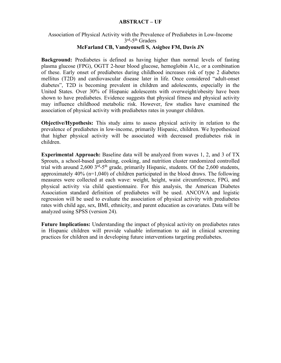#### **ABSTRACT – UF**

#### Association of Physical Activity with the Prevalence of Prediabetes in Low-Income 3rd-5th Graders **McFarland CB, Vandyousefi S, Asigbee FM, Davis JN**

**Background:** Prediabetes is defined as having higher than normal levels of fasting plasma glucose (FPG), OGTT 2-hour blood glucose, hemoglobin A1c, or a combination of these. Early onset of prediabetes during childhood increases risk of type 2 diabetes mellitus (T2D) and cardiovascular disease later in life. Once considered "adult-onset diabetes", T2D is becoming prevalent in children and adolescents, especially in the United States. Over 30% of Hispanic adolescents with overweight/obesity have been shown to have prediabetes. Evidence suggests that physical fitness and physical activity may influence childhood metabolic risk. However, few studies have examined the association of physical activity with prediabetes rates in younger children.

**Objective/Hypothesis:** This study aims to assess physical activity in relation to the prevalence of prediabetes in low-income, primarily Hispanic, children. We hypothesized that higher physical activity will be associated with decreased prediabetes risk in children.

**Experimental Approach:** Baseline data will be analyzed from waves 1, 2, and 3 of TX Sprouts, a school-based gardening, cooking, and nutrition cluster randomized controlled trial with around 2,600 3rd-5th grade, primarily Hispanic, students. Of the 2,600 students, approximately 40% (n=1,040) of children participated in the blood draws. The following measures were collected at each wave: weight, height, waist circumference, FPG, and physical activity via child questionnaire. For this analysis, the American Diabetes Association standard definition of prediabetes will be used. ANCOVA and logistic regression will be used to evaluate the association of physical activity with prediabetes rates with child age, sex, BMI, ethnicity, and parent education as covariates. Data will be analyzed using SPSS (version 24).

**Future Implications:** Understanding the impact of physical activity on prediabetes rates in Hispanic children will provide valuable information to aid in clinical screening practices for children and in developing future interventions targeting prediabetes.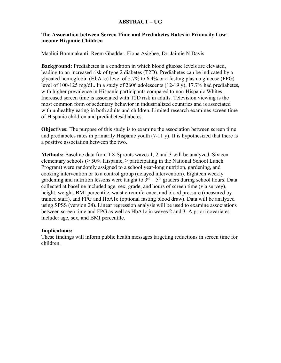#### **ABSTRACT – UG**

#### **The Association between Screen Time and Prediabetes Rates in Primarily Lowincome Hispanic Children**

Maalini Bommakanti, Reem Ghaddar, Fiona Asigbee, Dr. Jaimie N Davis

**Background:** Prediabetes is a condition in which blood glucose levels are elevated, leading to an increased risk of type 2 diabetes (T2D). Prediabetes can be indicated by a glycated hemoglobin (HbA1c) level of 5.7% to 6.4% or a fasting plasma glucose (FPG) level of 100-125 mg/dL. In a study of 2606 adolescents (12-19 y), 17.7% had prediabetes, with higher prevalence in Hispanic participants compared to non-Hispanic Whites. Increased screen time is associated with T2D risk in adults. Television viewing is the most common form of sedentary behavior in industrialized countries and is associated with unhealthy eating in both adults and children. Limited research examines screen time of Hispanic children and prediabetes/diabetes.

**Objectives:** The purpose of this study is to examine the association between screen time and prediabetes rates in primarily Hispanic youth (7-11 y). It is hypothesized that there is a positive association between the two.

**Methods:** Baseline data from TX Sprouts waves 1, 2 and 3 will be analyzed. Sixteen elementary schools ( $\geq$  50% Hispanic,  $\geq$  participating in the National School Lunch Program) were randomly assigned to a school year-long nutrition, gardening, and cooking intervention or to a control group (delayed intervention). Eighteen weekly gardening and nutrition lessons were taught to  $3<sup>rd</sup> - 5<sup>th</sup>$  graders during school hours. Data collected at baseline included age, sex, grade, and hours of screen time (via survey), height, weight, BMI percentile, waist circumference, and blood pressure (measured by trained staff), and FPG and HbA1c (optional fasting blood draw). Data will be analyzed using SPSS (version 24). Linear regression analysis will be used to examine associations between screen time and FPG as well as HbA1c in waves 2 and 3. A priori covariates include: age, sex, and BMI percentile.

#### **Implications:**

These findings will inform public health messages targeting reductions in screen time for children.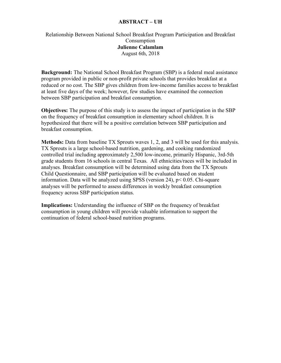#### **ABSTRACT – UH**

#### Relationship Between National School Breakfast Program Participation and Breakfast Consumption **Julienne Calamlam** August 6th, 2018

**Background:** The National School Breakfast Program (SBP) is a federal meal assistance program provided in public or non-profit private schools that provides breakfast at a reduced or no cost. The SBP gives children from low-income families access to breakfast at least five days of the week; however, few studies have examined the connection between SBP participation and breakfast consumption.

**Objectives:** The purpose of this study is to assess the impact of participation in the SBP on the frequency of breakfast consumption in elementary school children. It is hypothesized that there will be a positive correlation between SBP participation and breakfast consumption.

**Methods:** Data from baseline TX Sprouts waves 1, 2, and 3 will be used for this analysis. TX Sprouts is a large school-based nutrition, gardening, and cooking randomized controlled trial including approximately 2,500 low-income, primarily Hispanic, 3rd-5th grade students from 16 schools in central Texas. All ethnicities/races will be included in analyses. Breakfast consumption will be determined using data from the TX Sprouts Child Questionnaire, and SBP participation will be evaluated based on student information. Data will be analyzed using SPSS (version 24), p< 0.05. Chi-square analyses will be performed to assess differences in weekly breakfast consumption frequency across SBP participation status.

**Implications:** Understanding the influence of SBP on the frequency of breakfast consumption in young children will provide valuable information to support the continuation of federal school-based nutrition programs.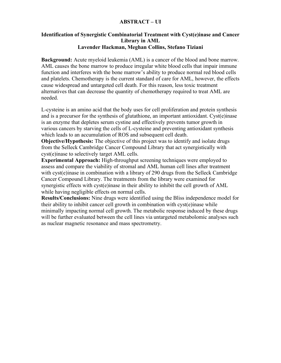#### **ABSTRACT – UI**

#### **Identification of Synergistic Combinatorial Treatment with Cyst(e)inase and Cancer Library in AML Lavender Hackman, Meghan Collins, Stefano Tiziani**

**Background:** Acute myeloid leukemia (AML) is a cancer of the blood and bone marrow. AML causes the bone marrow to produce irregular white blood cells that impair immune function and interferes with the bone marrow's ability to produce normal red blood cells and platelets. Chemotherapy is the current standard of care for AML, however, the effects cause widespread and untargeted cell death. For this reason, less toxic treatment alternatives that can decrease the quantity of chemotherapy required to treat AML are needed.

L-cysteine is an amino acid that the body uses for cell proliferation and protein synthesis and is a precursor for the synthesis of glutathione, an important antioxidant. Cyst(e)inase is an enzyme that depletes serum cystine and effectively prevents tumor growth in various cancers by starving the cells of L-cysteine and preventing antioxidant synthesis which leads to an accumulation of ROS and subsequent cell death.

**Objective/Hypothesis:** The objective of this project was to identify and isolate drugs from the Selleck Cambridge Cancer Compound Library that act synergistically with cyst(e)inase to selectively target AML cells.

**Experimental Approach:** High-throughput screening techniques were employed to assess and compare the viability of stromal and AML human cell lines after treatment with cyst(e)inase in combination with a library of 290 drugs from the Selleck Cambridge Cancer Compound Library. The treatments from the library were examined for synergistic effects with cyst(e)inase in their ability to inhibit the cell growth of AML while having negligible effects on normal cells.

**Results/Conclusions:** Nine drugs were identified using the Bliss independence model for their ability to inhibit cancer cell growth in combination with cyst(e)inase while minimally impacting normal cell growth. The metabolic response induced by these drugs will be further evaluated between the cell lines via untargeted metabolomic analyses such as nuclear magnetic resonance and mass spectrometry.